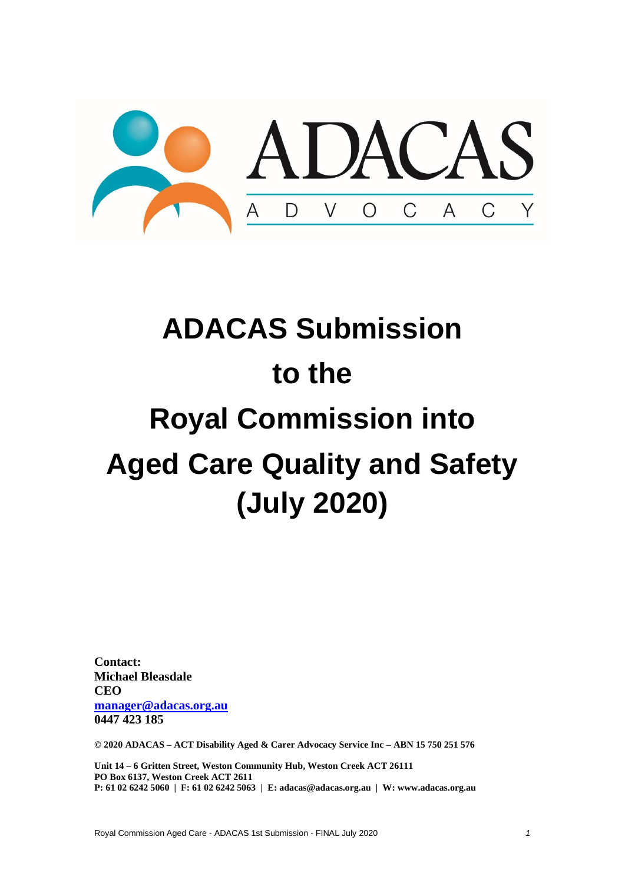

# **ADACAS Submission to the Royal Commission into Aged Care Quality and Safety (July 2020)**

**Contact: Michael Bleasdale CEO [manager@adacas.org.au](mailto:manager@adacas.org.au) 0447 423 185**

**© 2020 ADACAS – ACT Disability Aged & Carer Advocacy Service Inc – ABN 15 750 251 576**

**Unit 14 – 6 Gritten Street, Weston Community Hub, Weston Creek ACT 26111 PO Box 6137, Weston Creek ACT 2611 P: 61 02 6242 5060 | F: 61 02 6242 5063 | E: adacas@adacas.org.au | W: www.adacas.org.au**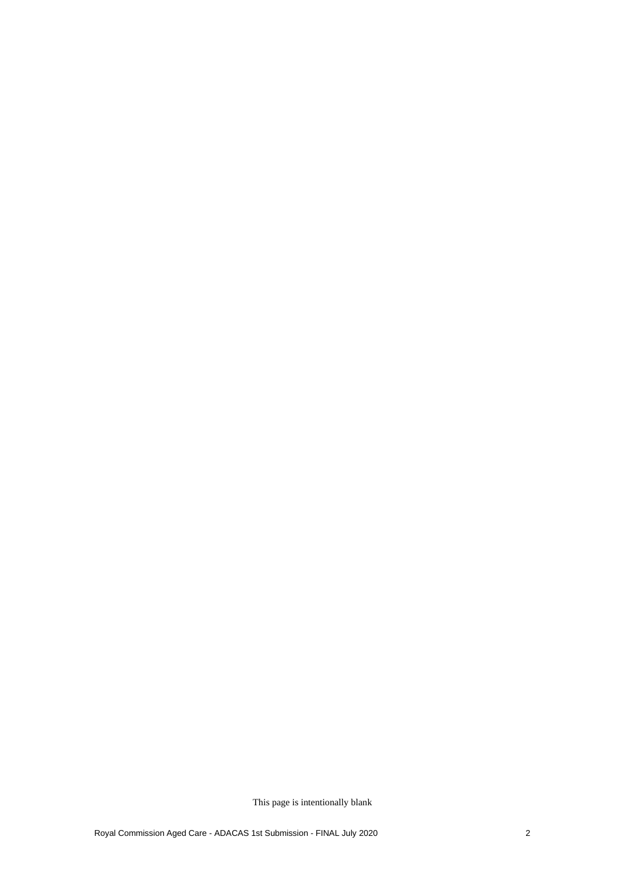This page is intentionally blank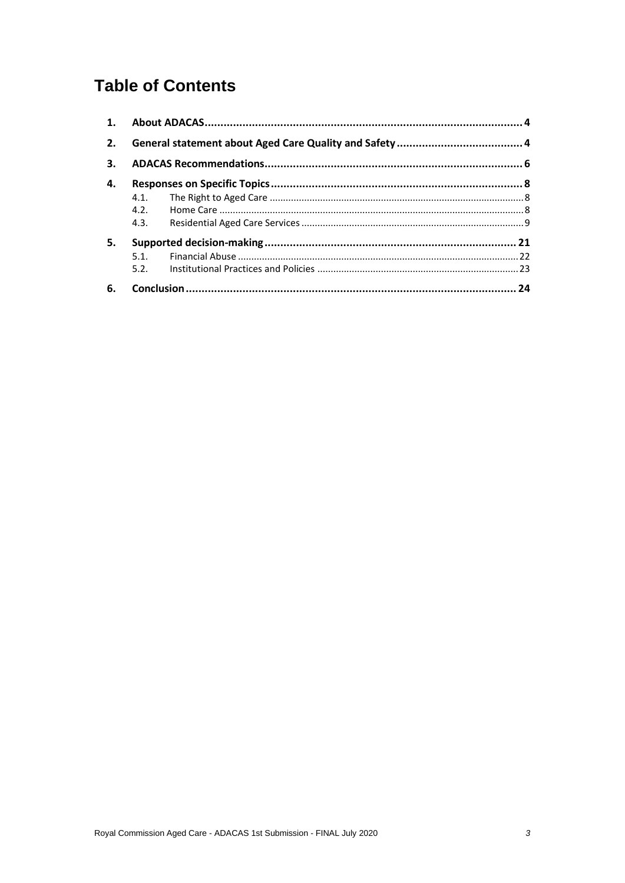# **Table of Contents**

| 1. |      |  |    |  |
|----|------|--|----|--|
| 2. |      |  |    |  |
| 3. |      |  |    |  |
| 4. |      |  |    |  |
|    | 4.1. |  |    |  |
|    | 4.2. |  |    |  |
|    | 4.3. |  |    |  |
| 5. |      |  |    |  |
|    | 5.1. |  |    |  |
|    | 5.2. |  |    |  |
| 6. |      |  | 24 |  |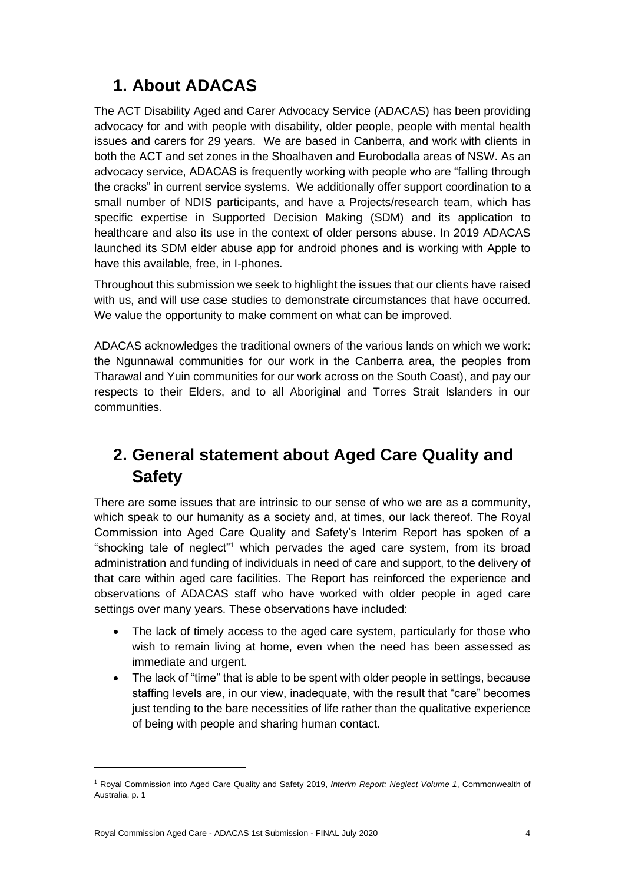# <span id="page-3-0"></span>**1. About ADACAS**

The ACT Disability Aged and Carer Advocacy Service (ADACAS) has been providing advocacy for and with people with disability, older people, people with mental health issues and carers for 29 years. We are based in Canberra, and work with clients in both the ACT and set zones in the Shoalhaven and Eurobodalla areas of NSW. As an advocacy service, ADACAS is frequently working with people who are "falling through the cracks" in current service systems. We additionally offer support coordination to a small number of NDIS participants, and have a Projects/research team, which has specific expertise in Supported Decision Making (SDM) and its application to healthcare and also its use in the context of older persons abuse. In 2019 ADACAS launched its SDM elder abuse app for android phones and is working with Apple to have this available, free, in I-phones.

Throughout this submission we seek to highlight the issues that our clients have raised with us, and will use case studies to demonstrate circumstances that have occurred. We value the opportunity to make comment on what can be improved.

ADACAS acknowledges the traditional owners of the various lands on which we work: the Ngunnawal communities for our work in the Canberra area, the peoples from Tharawal and Yuin communities for our work across on the South Coast), and pay our respects to their Elders, and to all Aboriginal and Torres Strait Islanders in our communities.

# <span id="page-3-1"></span>**2. General statement about Aged Care Quality and Safety**

There are some issues that are intrinsic to our sense of who we are as a community, which speak to our humanity as a society and, at times, our lack thereof. The Royal Commission into Aged Care Quality and Safety's Interim Report has spoken of a "shocking tale of neglect"<sup>1</sup> which pervades the aged care system, from its broad administration and funding of individuals in need of care and support, to the delivery of that care within aged care facilities. The Report has reinforced the experience and observations of ADACAS staff who have worked with older people in aged care settings over many years. These observations have included:

- The lack of timely access to the aged care system, particularly for those who wish to remain living at home, even when the need has been assessed as immediate and urgent.
- The lack of "time" that is able to be spent with older people in settings, because staffing levels are, in our view, inadequate, with the result that "care" becomes just tending to the bare necessities of life rather than the qualitative experience of being with people and sharing human contact.

<sup>1</sup> Royal Commission into Aged Care Quality and Safety 2019, *Interim Report: Neglect Volume 1*, Commonwealth of Australia, p. 1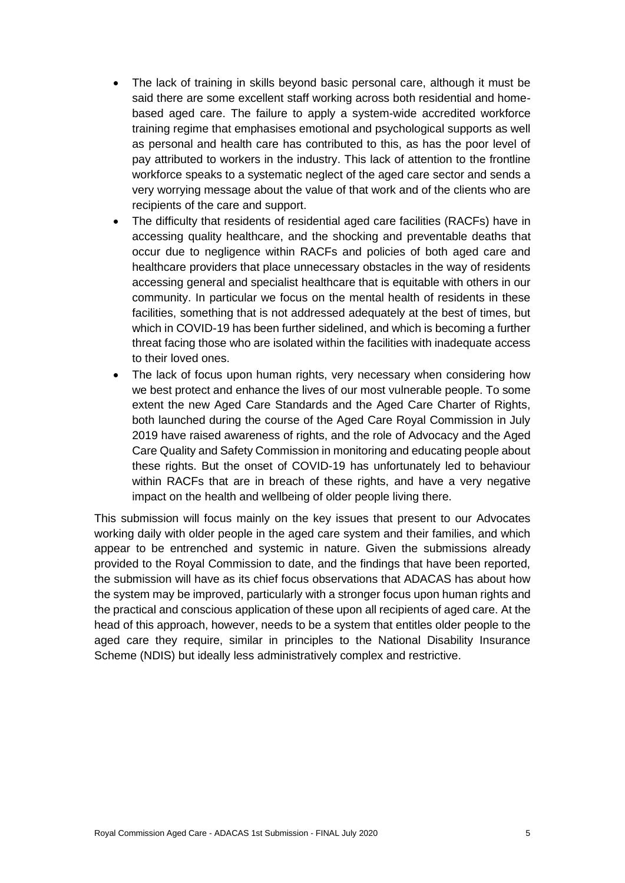- The lack of training in skills beyond basic personal care, although it must be said there are some excellent staff working across both residential and homebased aged care. The failure to apply a system-wide accredited workforce training regime that emphasises emotional and psychological supports as well as personal and health care has contributed to this, as has the poor level of pay attributed to workers in the industry. This lack of attention to the frontline workforce speaks to a systematic neglect of the aged care sector and sends a very worrying message about the value of that work and of the clients who are recipients of the care and support.
- The difficulty that residents of residential aged care facilities (RACFs) have in accessing quality healthcare, and the shocking and preventable deaths that occur due to negligence within RACFs and policies of both aged care and healthcare providers that place unnecessary obstacles in the way of residents accessing general and specialist healthcare that is equitable with others in our community. In particular we focus on the mental health of residents in these facilities, something that is not addressed adequately at the best of times, but which in COVID-19 has been further sidelined, and which is becoming a further threat facing those who are isolated within the facilities with inadequate access to their loved ones.
- The lack of focus upon human rights, very necessary when considering how we best protect and enhance the lives of our most vulnerable people. To some extent the new Aged Care Standards and the Aged Care Charter of Rights, both launched during the course of the Aged Care Royal Commission in July 2019 have raised awareness of rights, and the role of Advocacy and the Aged Care Quality and Safety Commission in monitoring and educating people about these rights. But the onset of COVID-19 has unfortunately led to behaviour within RACFs that are in breach of these rights, and have a very negative impact on the health and wellbeing of older people living there.

This submission will focus mainly on the key issues that present to our Advocates working daily with older people in the aged care system and their families, and which appear to be entrenched and systemic in nature. Given the submissions already provided to the Royal Commission to date, and the findings that have been reported, the submission will have as its chief focus observations that ADACAS has about how the system may be improved, particularly with a stronger focus upon human rights and the practical and conscious application of these upon all recipients of aged care. At the head of this approach, however, needs to be a system that entitles older people to the aged care they require, similar in principles to the National Disability Insurance Scheme (NDIS) but ideally less administratively complex and restrictive.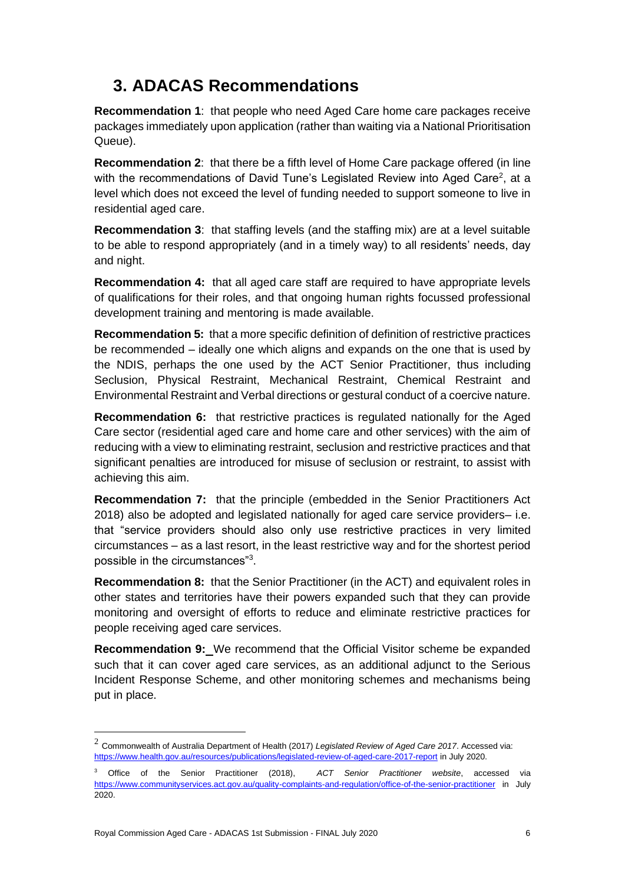## <span id="page-5-0"></span>**3. ADACAS Recommendations**

**Recommendation 1**: that people who need Aged Care home care packages receive packages immediately upon application (rather than waiting via a National Prioritisation Queue).

**Recommendation 2**: that there be a fifth level of Home Care package offered (in line with the recommendations of David Tune's Legislated Review into Aged Care<sup>2</sup>, at a level which does not exceed the level of funding needed to support someone to live in residential aged care.

**Recommendation 3**: that staffing levels (and the staffing mix) are at a level suitable to be able to respond appropriately (and in a timely way) to all residents' needs, day and night.

**Recommendation 4:** that all aged care staff are required to have appropriate levels of qualifications for their roles, and that ongoing human rights focussed professional development training and mentoring is made available.

**Recommendation 5:** that a more specific definition of definition of restrictive practices be recommended – ideally one which aligns and expands on the one that is used by the NDIS, perhaps the one used by the ACT Senior Practitioner, thus including Seclusion, Physical Restraint, Mechanical Restraint, Chemical Restraint and Environmental Restraint and Verbal directions or gestural conduct of a coercive nature.

**Recommendation 6:** that restrictive practices is regulated nationally for the Aged Care sector (residential aged care and home care and other services) with the aim of reducing with a view to eliminating restraint, seclusion and restrictive practices and that significant penalties are introduced for misuse of seclusion or restraint, to assist with achieving this aim.

**Recommendation 7:** that the principle (embedded in the Senior Practitioners Act 2018) also be adopted and legislated nationally for aged care service providers– i.e. that "service providers should also only use restrictive practices in very limited circumstances – as a last resort, in the least restrictive way and for the shortest period possible in the circumstances"<sup>3</sup>.

**Recommendation 8:** that the Senior Practitioner (in the ACT) and equivalent roles in other states and territories have their powers expanded such that they can provide monitoring and oversight of efforts to reduce and eliminate restrictive practices for people receiving aged care services.

**Recommendation 9:** We recommend that the Official Visitor scheme be expanded such that it can cover aged care services, as an additional adjunct to the Serious Incident Response Scheme, and other monitoring schemes and mechanisms being put in place.

<sup>2</sup> Commonwealth of Australia Department of Health (2017) *Legislated Review of Aged Care 2017*. Accessed via: <https://www.health.gov.au/resources/publications/legislated-review-of-aged-care-2017-report> in July 2020.

<sup>3</sup> Office of the Senior Practitioner (2018), *ACT Senior Practitioner website*, accessed via <https://www.communityservices.act.gov.au/quality-complaints-and-regulation/office-of-the-senior-practitioner> in July 2020.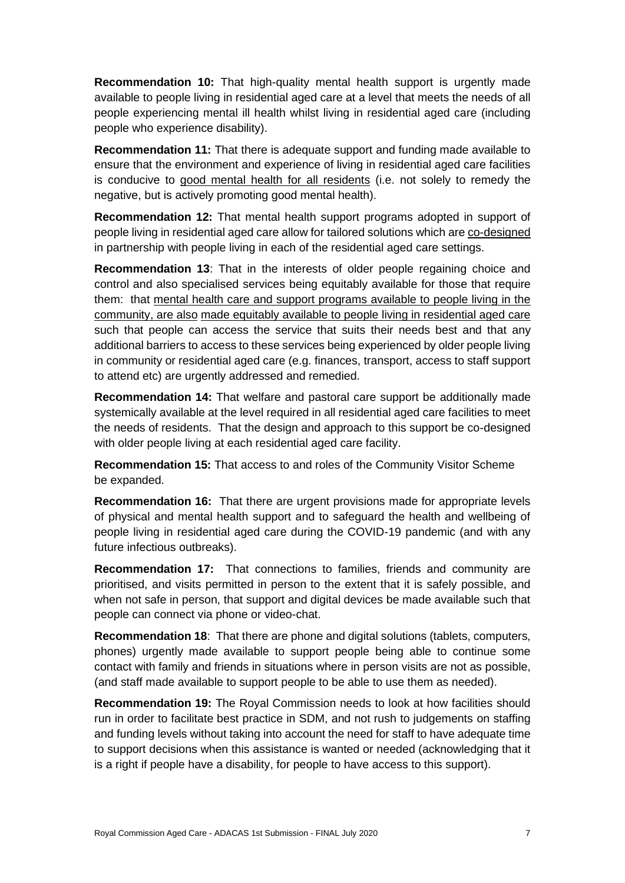**Recommendation 10:** That high-quality mental health support is urgently made available to people living in residential aged care at a level that meets the needs of all people experiencing mental ill health whilst living in residential aged care (including people who experience disability).

**Recommendation 11:** That there is adequate support and funding made available to ensure that the environment and experience of living in residential aged care facilities is conducive to good mental health for all residents (i.e. not solely to remedy the negative, but is actively promoting good mental health).

**Recommendation 12:** That mental health support programs adopted in support of people living in residential aged care allow for tailored solutions which are co-designed in partnership with people living in each of the residential aged care settings.

**Recommendation 13**: That in the interests of older people regaining choice and control and also specialised services being equitably available for those that require them: that mental health care and support programs available to people living in the community, are also made equitably available to people living in residential aged care such that people can access the service that suits their needs best and that any additional barriers to access to these services being experienced by older people living in community or residential aged care (e.g. finances, transport, access to staff support to attend etc) are urgently addressed and remedied.

**Recommendation 14:** That welfare and pastoral care support be additionally made systemically available at the level required in all residential aged care facilities to meet the needs of residents. That the design and approach to this support be co-designed with older people living at each residential aged care facility.

**Recommendation 15:** That access to and roles of the Community Visitor Scheme be expanded.

**Recommendation 16:** That there are urgent provisions made for appropriate levels of physical and mental health support and to safeguard the health and wellbeing of people living in residential aged care during the COVID-19 pandemic (and with any future infectious outbreaks).

**Recommendation 17:** That connections to families, friends and community are prioritised, and visits permitted in person to the extent that it is safely possible, and when not safe in person, that support and digital devices be made available such that people can connect via phone or video-chat.

**Recommendation 18**: That there are phone and digital solutions (tablets, computers, phones) urgently made available to support people being able to continue some contact with family and friends in situations where in person visits are not as possible, (and staff made available to support people to be able to use them as needed).

**Recommendation 19:** The Royal Commission needs to look at how facilities should run in order to facilitate best practice in SDM, and not rush to judgements on staffing and funding levels without taking into account the need for staff to have adequate time to support decisions when this assistance is wanted or needed (acknowledging that it is a right if people have a disability, for people to have access to this support).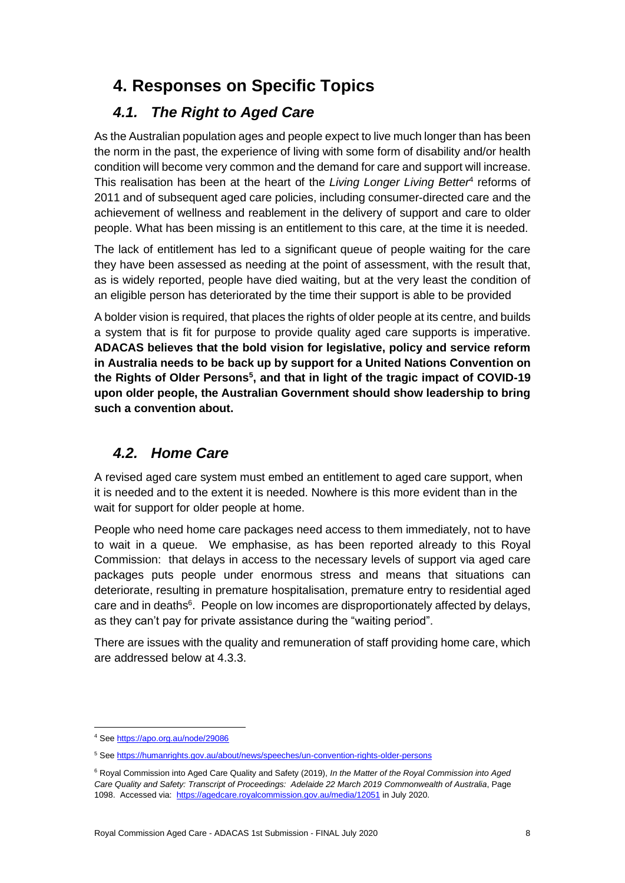# <span id="page-7-0"></span>**4. Responses on Specific Topics**

## <span id="page-7-1"></span>*4.1. The Right to Aged Care*

As the Australian population ages and people expect to live much longer than has been the norm in the past, the experience of living with some form of disability and/or health condition will become very common and the demand for care and support will increase. This realisation has been at the heart of the Living Longer Living Better<sup>4</sup> reforms of 2011 and of subsequent aged care policies, including consumer-directed care and the achievement of wellness and reablement in the delivery of support and care to older people. What has been missing is an entitlement to this care, at the time it is needed.

The lack of entitlement has led to a significant queue of people waiting for the care they have been assessed as needing at the point of assessment, with the result that, as is widely reported, people have died waiting, but at the very least the condition of an eligible person has deteriorated by the time their support is able to be provided

A bolder vision is required, that places the rights of older people at its centre, and builds a system that is fit for purpose to provide quality aged care supports is imperative. **ADACAS believes that the bold vision for legislative, policy and service reform in Australia needs to be back up by support for a United Nations Convention on the Rights of Older Persons<sup>5</sup> , and that in light of the tragic impact of COVID-19 upon older people, the Australian Government should show leadership to bring such a convention about.**

## <span id="page-7-2"></span>*4.2. Home Care*

A revised aged care system must embed an entitlement to aged care support, when it is needed and to the extent it is needed. Nowhere is this more evident than in the wait for support for older people at home.

People who need home care packages need access to them immediately, not to have to wait in a queue. We emphasise, as has been reported already to this Royal Commission: that delays in access to the necessary levels of support via aged care packages puts people under enormous stress and means that situations can deteriorate, resulting in premature hospitalisation, premature entry to residential aged care and in deaths<sup>6</sup>. People on low incomes are disproportionately affected by delays, as they can't pay for private assistance during the "waiting period".

There are issues with the quality and remuneration of staff providing home care, which are addressed below at 4.3.3.

<sup>4</sup> Se[e https://apo.org.au/node/29086](https://apo.org.au/node/29086) 

<sup>5</sup> Se[e https://humanrights.gov.au/about/news/speeches/un-convention-rights-older-persons](https://humanrights.gov.au/about/news/speeches/un-convention-rights-older-persons)

<sup>6</sup> Royal Commission into Aged Care Quality and Safety (2019), *In the Matter of the Royal Commission into Aged Care Quality and Safety: Transcript of Proceedings: Adelaide 22 March 2019 Commonwealth of Australia*, Page 1098. Accessed via: <https://agedcare.royalcommission.gov.au/media/12051> in July 2020.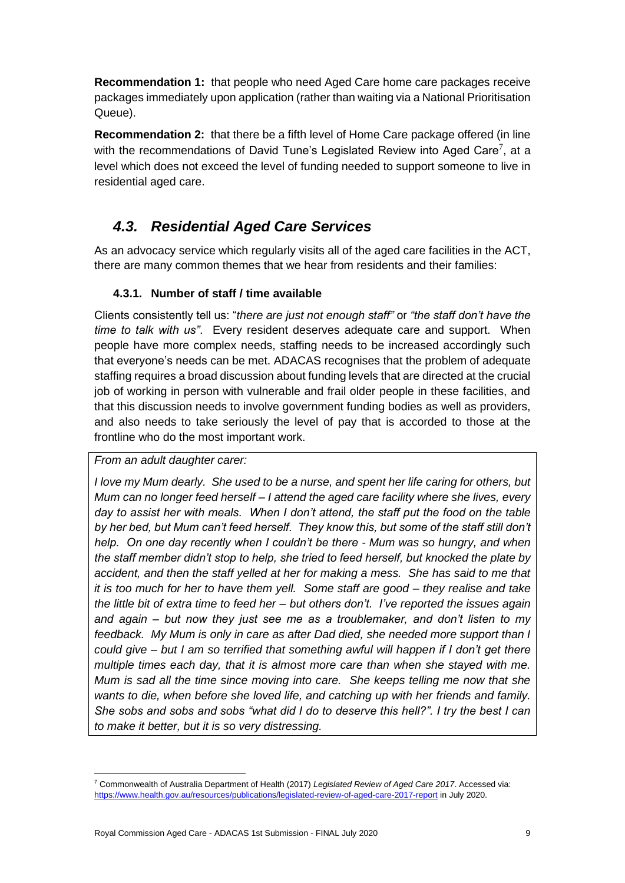**Recommendation 1:** that people who need Aged Care home care packages receive packages immediately upon application (rather than waiting via a National Prioritisation Queue).

**Recommendation 2:** that there be a fifth level of Home Care package offered (in line with the recommendations of David Tune's Legislated Review into Aged Care<sup>7</sup>, at a level which does not exceed the level of funding needed to support someone to live in residential aged care.

## <span id="page-8-0"></span>*4.3. Residential Aged Care Services*

As an advocacy service which regularly visits all of the aged care facilities in the ACT, there are many common themes that we hear from residents and their families:

#### **4.3.1. Number of staff / time available**

Clients consistently tell us: "*there are just not enough staff"* or *"the staff don't have the time to talk with us"*. Every resident deserves adequate care and support. When people have more complex needs, staffing needs to be increased accordingly such that everyone's needs can be met. ADACAS recognises that the problem of adequate staffing requires a broad discussion about funding levels that are directed at the crucial job of working in person with vulnerable and frail older people in these facilities, and that this discussion needs to involve government funding bodies as well as providers, and also needs to take seriously the level of pay that is accorded to those at the frontline who do the most important work.

*From an adult daughter carer:* 

*I love my Mum dearly. She used to be a nurse, and spent her life caring for others, but Mum can no longer feed herself – I attend the aged care facility where she lives, every day to assist her with meals. When I don't attend, the staff put the food on the table by her bed, but Mum can't feed herself. They know this, but some of the staff still don't help. On one day recently when I couldn't be there - Mum was so hungry, and when the staff member didn't stop to help, she tried to feed herself, but knocked the plate by accident, and then the staff yelled at her for making a mess. She has said to me that it is too much for her to have them yell. Some staff are good – they realise and take the little bit of extra time to feed her – but others don't. I've reported the issues again and again – but now they just see me as a troublemaker, and don't listen to my feedback. My Mum is only in care as after Dad died, she needed more support than I could give – but I am so terrified that something awful will happen if I don't get there multiple times each day, that it is almost more care than when she stayed with me. Mum is sad all the time since moving into care. She keeps telling me now that she wants to die, when before she loved life, and catching up with her friends and family. She sobs and sobs and sobs "what did I do to deserve this hell?". I try the best I can to make it better, but it is so very distressing.* 

<sup>7</sup> Commonwealth of Australia Department of Health (2017) *Legislated Review of Aged Care 2017*. Accessed via: <https://www.health.gov.au/resources/publications/legislated-review-of-aged-care-2017-report> in July 2020.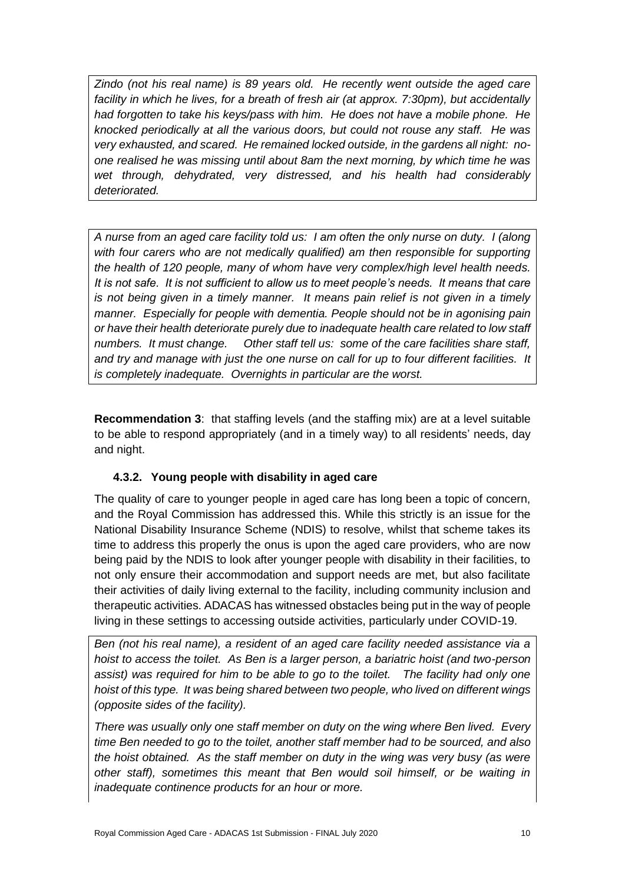*Zindo (not his real name) is 89 years old. He recently went outside the aged care facility in which he lives, for a breath of fresh air (at approx. 7:30pm), but accidentally had forgotten to take his keys/pass with him. He does not have a mobile phone. He knocked periodically at all the various doors, but could not rouse any staff. He was very exhausted, and scared. He remained locked outside, in the gardens all night: noone realised he was missing until about 8am the next morning, by which time he was wet through, dehydrated, very distressed, and his health had considerably deteriorated.* 

*A nurse from an aged care facility told us: I am often the only nurse on duty. I (along with four carers who are not medically qualified) am then responsible for supporting the health of 120 people, many of whom have very complex/high level health needs. It is not safe. It is not sufficient to allow us to meet people's needs. It means that care is not being given in a timely manner. It means pain relief is not given in a timely manner. Especially for people with dementia. People should not be in agonising pain or have their health deteriorate purely due to inadequate health care related to low staff numbers. It must change. Other staff tell us: some of the care facilities share staff, and try and manage with just the one nurse on call for up to four different facilities. It is completely inadequate. Overnights in particular are the worst.* 

**Recommendation 3**: that staffing levels (and the staffing mix) are at a level suitable to be able to respond appropriately (and in a timely way) to all residents' needs, day and night.

#### **4.3.2. Young people with disability in aged care**

The quality of care to younger people in aged care has long been a topic of concern, and the Royal Commission has addressed this. While this strictly is an issue for the National Disability Insurance Scheme (NDIS) to resolve, whilst that scheme takes its time to address this properly the onus is upon the aged care providers, who are now being paid by the NDIS to look after younger people with disability in their facilities, to not only ensure their accommodation and support needs are met, but also facilitate their activities of daily living external to the facility, including community inclusion and therapeutic activities. ADACAS has witnessed obstacles being put in the way of people living in these settings to accessing outside activities, particularly under COVID-19.

*Ben (not his real name), a resident of an aged care facility needed assistance via a hoist to access the toilet. As Ben is a larger person, a bariatric hoist (and two-person assist) was required for him to be able to go to the toilet. The facility had only one hoist of this type. It was being shared between two people, who lived on different wings (opposite sides of the facility).* 

*There was usually only one staff member on duty on the wing where Ben lived. Every time Ben needed to go to the toilet, another staff member had to be sourced, and also the hoist obtained. As the staff member on duty in the wing was very busy (as were other staff), sometimes this meant that Ben would soil himself, or be waiting in inadequate continence products for an hour or more.*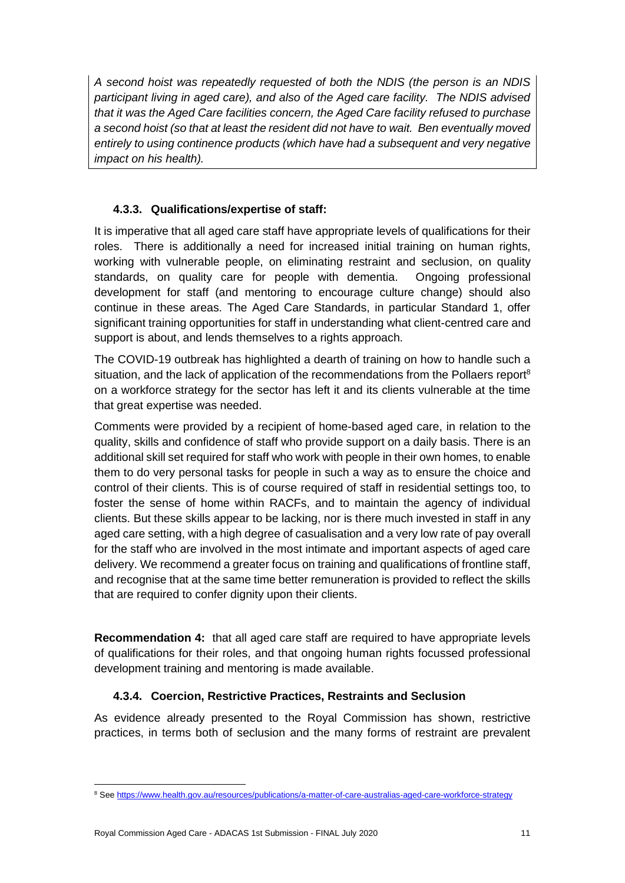*A second hoist was repeatedly requested of both the NDIS (the person is an NDIS participant living in aged care), and also of the Aged care facility. The NDIS advised that it was the Aged Care facilities concern, the Aged Care facility refused to purchase a second hoist (so that at least the resident did not have to wait. Ben eventually moved entirely to using continence products (which have had a subsequent and very negative impact on his health).* 

#### **4.3.3. Qualifications/expertise of staff:**

It is imperative that all aged care staff have appropriate levels of qualifications for their roles. There is additionally a need for increased initial training on human rights, working with vulnerable people, on eliminating restraint and seclusion, on quality standards, on quality care for people with dementia. Ongoing professional development for staff (and mentoring to encourage culture change) should also continue in these areas. The Aged Care Standards, in particular Standard 1, offer significant training opportunities for staff in understanding what client-centred care and support is about, and lends themselves to a rights approach.

The COVID-19 outbreak has highlighted a dearth of training on how to handle such a situation, and the lack of application of the recommendations from the Pollaers report<sup>8</sup> on a workforce strategy for the sector has left it and its clients vulnerable at the time that great expertise was needed.

Comments were provided by a recipient of home-based aged care, in relation to the quality, skills and confidence of staff who provide support on a daily basis. There is an additional skill set required for staff who work with people in their own homes, to enable them to do very personal tasks for people in such a way as to ensure the choice and control of their clients. This is of course required of staff in residential settings too, to foster the sense of home within RACFs, and to maintain the agency of individual clients. But these skills appear to be lacking, nor is there much invested in staff in any aged care setting, with a high degree of casualisation and a very low rate of pay overall for the staff who are involved in the most intimate and important aspects of aged care delivery. We recommend a greater focus on training and qualifications of frontline staff, and recognise that at the same time better remuneration is provided to reflect the skills that are required to confer dignity upon their clients.

**Recommendation 4:** that all aged care staff are required to have appropriate levels of qualifications for their roles, and that ongoing human rights focussed professional development training and mentoring is made available.

#### **4.3.4. Coercion, Restrictive Practices, Restraints and Seclusion**

As evidence already presented to the Royal Commission has shown, restrictive practices, in terms both of seclusion and the many forms of restraint are prevalent

<sup>8</sup> See <https://www.health.gov.au/resources/publications/a-matter-of-care-australias-aged-care-workforce-strategy>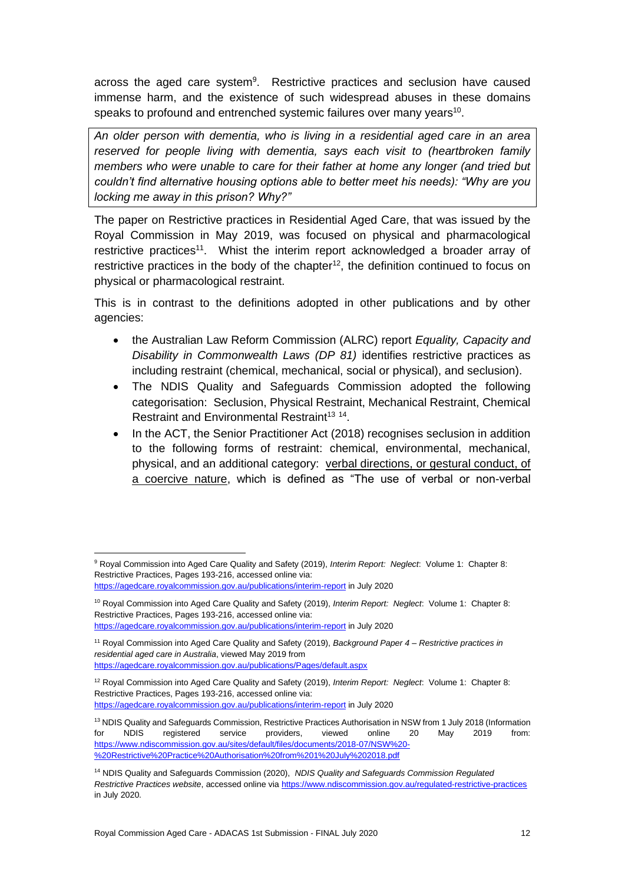across the aged care system<sup>9</sup>. Restrictive practices and seclusion have caused immense harm, and the existence of such widespread abuses in these domains speaks to profound and entrenched systemic failures over many years<sup>10</sup>.

*An older person with dementia, who is living in a residential aged care in an area reserved for people living with dementia, says each visit to (heartbroken family members who were unable to care for their father at home any longer (and tried but couldn't find alternative housing options able to better meet his needs): "Why are you locking me away in this prison? Why?"*

The paper on Restrictive practices in Residential Aged Care, that was issued by the Royal Commission in May 2019, was focused on physical and pharmacological restrictive practices<sup>11</sup>. Whist the interim report acknowledged a broader array of restrictive practices in the body of the chapter<sup>12</sup>, the definition continued to focus on physical or pharmacological restraint.

This is in contrast to the definitions adopted in other publications and by other agencies:

- the Australian Law Reform Commission (ALRC) report *Equality, Capacity and Disability in Commonwealth Laws (DP 81)* identifies restrictive practices as including restraint (chemical, mechanical, social or physical), and seclusion).
- The NDIS Quality and Safeguards Commission adopted the following categorisation: Seclusion, Physical Restraint, Mechanical Restraint, Chemical Restraint and Environmental Restraint<sup>13</sup><sup>14</sup>.
- In the ACT, the Senior Practitioner Act (2018) recognises seclusion in addition to the following forms of restraint: chemical, environmental, mechanical, physical, and an additional category: verbal directions, or gestural conduct, of a coercive nature, which is defined as "The use of verbal or non-verbal

<https://agedcare.royalcommission.gov.au/publications/interim-report> in July 2020

<sup>9</sup> Royal Commission into Aged Care Quality and Safety (2019), *Interim Report: Neglect*: Volume 1: Chapter 8: Restrictive Practices, Pages 193-216, accessed online via:

<https://agedcare.royalcommission.gov.au/publications/interim-report> in July 2020

<sup>10</sup> Royal Commission into Aged Care Quality and Safety (2019), *Interim Report: Neglect*: Volume 1: Chapter 8: Restrictive Practices, Pages 193-216, accessed online via:

<https://agedcare.royalcommission.gov.au/publications/interim-report> in July 2020

<sup>11</sup> Royal Commission into Aged Care Quality and Safety (2019), *Background Paper 4 – Restrictive practices in residential aged care in Australia*, viewed May 2019 from <https://agedcare.royalcommission.gov.au/publications/Pages/default.aspx>

<sup>12</sup> Royal Commission into Aged Care Quality and Safety (2019), *Interim Report: Neglect*: Volume 1: Chapter 8: Restrictive Practices, Pages 193-216, accessed online via:

<sup>13</sup> NDIS Quality and Safeguards Commission, Restrictive Practices Authorisation in NSW from 1 July 2018 (Information for NDIS registered service providers, viewed online 20 May 2019 from: [https://www.ndiscommission.gov.au/sites/default/files/documents/2018-07/NSW%20-](https://www.ndiscommission.gov.au/sites/default/files/documents/2018-07/NSW%20-%20Restrictive%20Practice%20Authorisation%20from%201%20July%202018.pdf) [%20Restrictive%20Practice%20Authorisation%20from%201%20July%202018.pdf](https://www.ndiscommission.gov.au/sites/default/files/documents/2018-07/NSW%20-%20Restrictive%20Practice%20Authorisation%20from%201%20July%202018.pdf)

<sup>14</sup> NDIS Quality and Safeguards Commission (2020), *NDIS Quality and Safeguards Commission Regulated Restrictive Practices website*, accessed online vi[a https://www.ndiscommission.gov.au/regulated-restrictive-practices](https://www.ndiscommission.gov.au/regulated-restrictive-practices) in July 2020.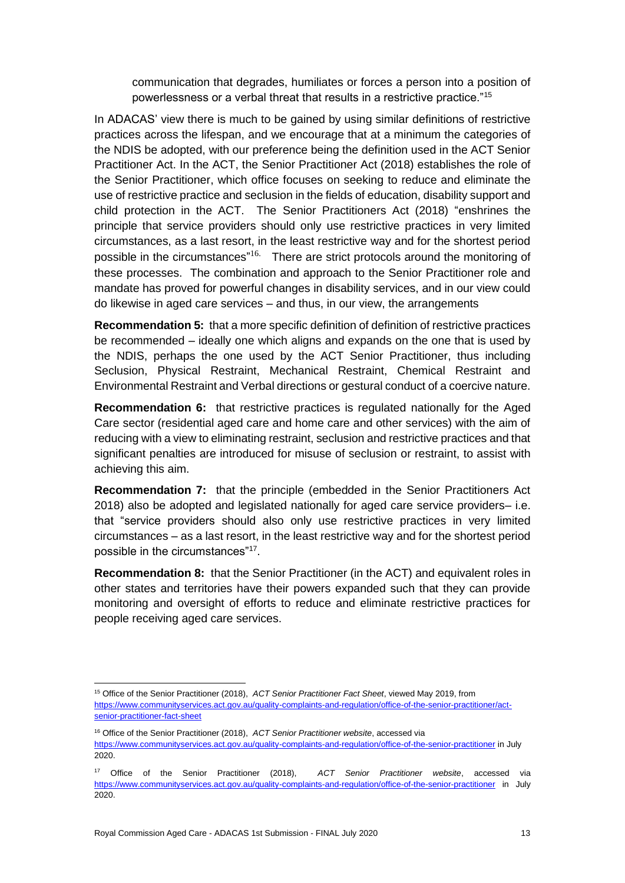communication that degrades, humiliates or forces a person into a position of powerlessness or a verbal threat that results in a restrictive practice."<sup>15</sup>

In ADACAS' view there is much to be gained by using similar definitions of restrictive practices across the lifespan, and we encourage that at a minimum the categories of the NDIS be adopted, with our preference being the definition used in the ACT Senior Practitioner Act. In the ACT, the Senior Practitioner Act (2018) establishes the role of the Senior Practitioner, which office focuses on seeking to reduce and eliminate the use of restrictive practice and seclusion in the fields of education, disability support and child protection in the ACT. The Senior Practitioners Act (2018) "enshrines the principle that service providers should only use restrictive practices in very limited circumstances, as a last resort, in the least restrictive way and for the shortest period possible in the circumstances"<sup>16.</sup> There are strict protocols around the monitoring of these processes. The combination and approach to the Senior Practitioner role and mandate has proved for powerful changes in disability services, and in our view could do likewise in aged care services – and thus, in our view, the arrangements

**Recommendation 5:** that a more specific definition of definition of restrictive practices be recommended – ideally one which aligns and expands on the one that is used by the NDIS, perhaps the one used by the ACT Senior Practitioner, thus including Seclusion, Physical Restraint, Mechanical Restraint, Chemical Restraint and Environmental Restraint and Verbal directions or gestural conduct of a coercive nature.

**Recommendation 6:** that restrictive practices is regulated nationally for the Aged Care sector (residential aged care and home care and other services) with the aim of reducing with a view to eliminating restraint, seclusion and restrictive practices and that significant penalties are introduced for misuse of seclusion or restraint, to assist with achieving this aim.

**Recommendation 7:** that the principle (embedded in the Senior Practitioners Act 2018) also be adopted and legislated nationally for aged care service providers– i.e. that "service providers should also only use restrictive practices in very limited circumstances – as a last resort, in the least restrictive way and for the shortest period possible in the circumstances"<sup>17</sup>.

**Recommendation 8:** that the Senior Practitioner (in the ACT) and equivalent roles in other states and territories have their powers expanded such that they can provide monitoring and oversight of efforts to reduce and eliminate restrictive practices for people receiving aged care services.

<sup>15</sup> Office of the Senior Practitioner (2018), *ACT Senior Practitioner Fact Sheet*, viewed May 2019, from [https://www.communityservices.act.gov.au/quality-complaints-and-regulation/office-of-the-senior-practitioner/act](https://www.communityservices.act.gov.au/quality-complaints-and-regulation/office-of-the-senior-practitioner/act-senior-practitioner-fact-sheet)[senior-practitioner-fact-sheet](https://www.communityservices.act.gov.au/quality-complaints-and-regulation/office-of-the-senior-practitioner/act-senior-practitioner-fact-sheet)

<sup>16</sup> Office of the Senior Practitioner (2018), *ACT Senior Practitioner website*, accessed via <https://www.communityservices.act.gov.au/quality-complaints-and-regulation/office-of-the-senior-practitioner> in July 2020.

<sup>17</sup> Office of the Senior Practitioner (2018), *ACT Senior Practitioner website*, accessed via <https://www.communityservices.act.gov.au/quality-complaints-and-regulation/office-of-the-senior-practitioner> in July 2020.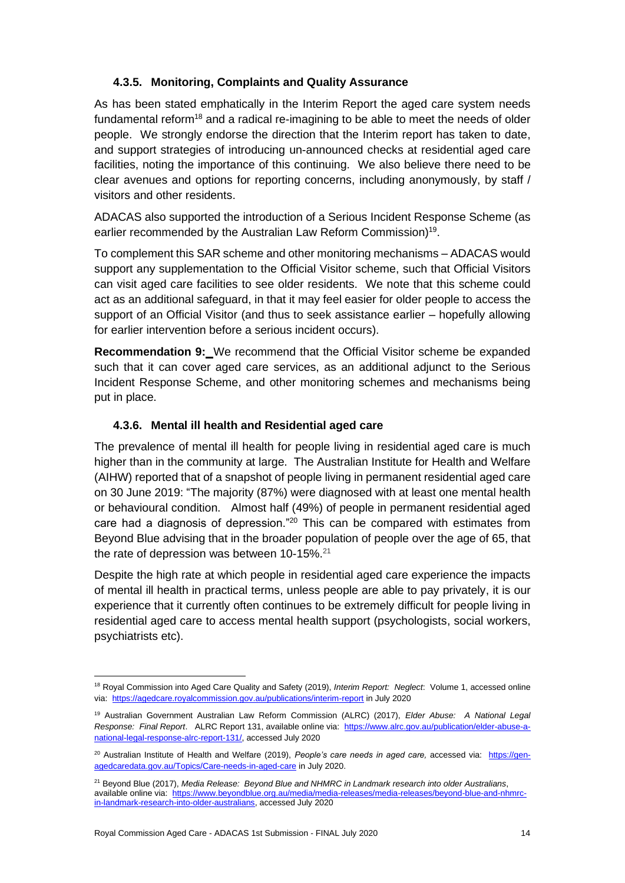#### **4.3.5. Monitoring, Complaints and Quality Assurance**

As has been stated emphatically in the Interim Report the aged care system needs fundamental reform<sup>18</sup> and a radical re-imagining to be able to meet the needs of older people. We strongly endorse the direction that the Interim report has taken to date, and support strategies of introducing un-announced checks at residential aged care facilities, noting the importance of this continuing. We also believe there need to be clear avenues and options for reporting concerns, including anonymously, by staff / visitors and other residents.

ADACAS also supported the introduction of a Serious Incident Response Scheme (as earlier recommended by the Australian Law Reform Commission)<sup>19</sup>.

To complement this SAR scheme and other monitoring mechanisms – ADACAS would support any supplementation to the Official Visitor scheme, such that Official Visitors can visit aged care facilities to see older residents. We note that this scheme could act as an additional safeguard, in that it may feel easier for older people to access the support of an Official Visitor (and thus to seek assistance earlier – hopefully allowing for earlier intervention before a serious incident occurs).

**Recommendation 9:** We recommend that the Official Visitor scheme be expanded such that it can cover aged care services, as an additional adjunct to the Serious Incident Response Scheme, and other monitoring schemes and mechanisms being put in place.

#### **4.3.6. Mental ill health and Residential aged care**

The prevalence of mental ill health for people living in residential aged care is much higher than in the community at large. The Australian Institute for Health and Welfare (AIHW) reported that of a snapshot of people living in permanent residential aged care on 30 June 2019: "The majority (87%) were diagnosed with at least one mental health or behavioural condition. Almost half (49%) of people in permanent residential aged care had a diagnosis of depression."<sup>20</sup> This can be compared with estimates from Beyond Blue advising that in the broader population of people over the age of 65, that the rate of depression was between 10-15%.<sup>21</sup>

Despite the high rate at which people in residential aged care experience the impacts of mental ill health in practical terms, unless people are able to pay privately, it is our experience that it currently often continues to be extremely difficult for people living in residential aged care to access mental health support (psychologists, social workers, psychiatrists etc).

<sup>18</sup> Royal Commission into Aged Care Quality and Safety (2019), *Interim Report: Neglect*: Volume 1, accessed online via:<https://agedcare.royalcommission.gov.au/publications/interim-report> in July 2020

<sup>19</sup> Australian Government Australian Law Reform Commission (ALRC) (2017), *Elder Abuse: A National Legal Response: Final Report*. ALRC Report 131, available online via: [https://www.alrc.gov.au/publication/elder-abuse-a](https://www.alrc.gov.au/publication/elder-abuse-a-national-legal-response-alrc-report-131/)[national-legal-response-alrc-report-131/,](https://www.alrc.gov.au/publication/elder-abuse-a-national-legal-response-alrc-report-131/) accessed July 2020

<sup>&</sup>lt;sup>20</sup> Australian Institute of Health and Welfare (2019), People's care needs in aged care, accessed via: [https://gen](https://gen-agedcaredata.gov.au/Topics/Care-needs-in-aged-care)[agedcaredata.gov.au/Topics/Care-needs-in-aged-care](https://gen-agedcaredata.gov.au/Topics/Care-needs-in-aged-care) in July 2020.

<sup>21</sup> Beyond Blue (2017), *Media Release: Beyond Blue and NHMRC in Landmark research into older Australians*, available online via: [https://www.beyondblue.org.au/media/media-releases/media-releases/beyond-blue-and-nhmrc](https://www.beyondblue.org.au/media/media-releases/media-releases/beyond-blue-and-nhmrc-in-landmark-research-into-older-australians)[in-landmark-research-into-older-australians,](https://www.beyondblue.org.au/media/media-releases/media-releases/beyond-blue-and-nhmrc-in-landmark-research-into-older-australians) accessed July 2020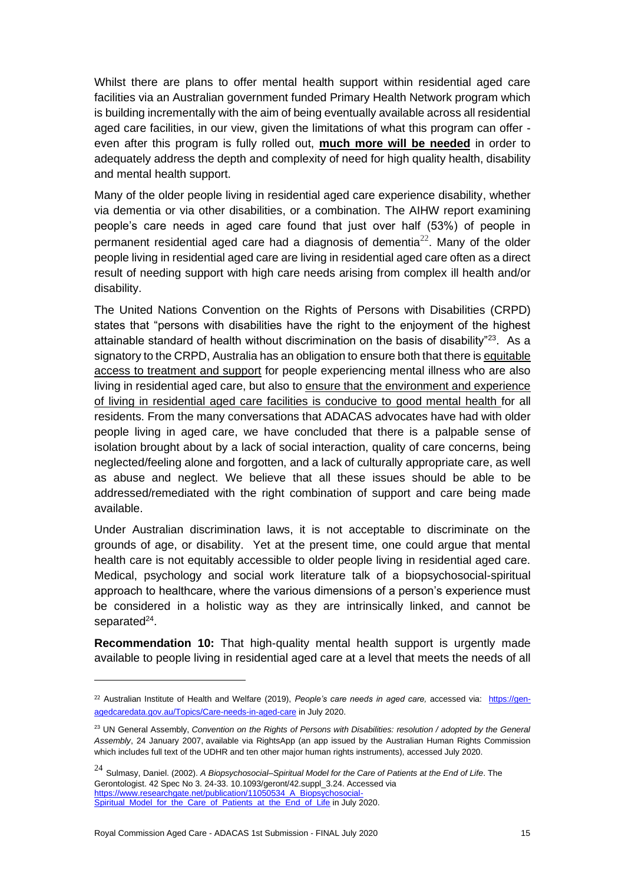Whilst there are plans to offer mental health support within residential aged care facilities via an Australian government funded Primary Health Network program which is building incrementally with the aim of being eventually available across all residential aged care facilities, in our view, given the limitations of what this program can offer even after this program is fully rolled out, **much more will be needed** in order to adequately address the depth and complexity of need for high quality health, disability and mental health support.

Many of the older people living in residential aged care experience disability, whether via dementia or via other disabilities, or a combination. The AIHW report examining people's care needs in aged care found that just over half (53%) of people in permanent residential aged care had a diagnosis of dementia $^{22}$ . Many of the older people living in residential aged care are living in residential aged care often as a direct result of needing support with high care needs arising from complex ill health and/or disability.

The United Nations Convention on the Rights of Persons with Disabilities (CRPD) states that "persons with disabilities have the right to the enjoyment of the highest attainable standard of health without discrimination on the basis of disability"<sup>23</sup>. As a signatory to the CRPD, Australia has an obligation to ensure both that there is equitable access to treatment and support for people experiencing mental illness who are also living in residential aged care, but also to ensure that the environment and experience of living in residential aged care facilities is conducive to good mental health for all residents. From the many conversations that ADACAS advocates have had with older people living in aged care, we have concluded that there is a palpable sense of isolation brought about by a lack of social interaction, quality of care concerns, being neglected/feeling alone and forgotten, and a lack of culturally appropriate care, as well as abuse and neglect. We believe that all these issues should be able to be addressed/remediated with the right combination of support and care being made available.

Under Australian discrimination laws, it is not acceptable to discriminate on the grounds of age, or disability. Yet at the present time, one could argue that mental health care is not equitably accessible to older people living in residential aged care. Medical, psychology and social work literature talk of a biopsychosocial-spiritual approach to healthcare, where the various dimensions of a person's experience must be considered in a holistic way as they are intrinsically linked, and cannot be separated<sup>24</sup>.

**Recommendation 10:** That high-quality mental health support is urgently made available to people living in residential aged care at a level that meets the needs of all

<sup>24</sup> Sulmasy, Daniel. (2002). *A Biopsychosocial–Spiritual Model for the Care of Patients at the End of Life*. The Gerontologist. 42 Spec No 3. 24-33. 10.1093/geront/42.suppl\_3.24. Accessed via [https://www.researchgate.net/publication/11050534\\_A\\_Biopsychosocial-](https://www.researchgate.net/publication/11050534_A_Biopsychosocial-Spiritual_Model_for_the_Care_of_Patients_at_the_End_of_Life)Spiritual Model for the Care of Patients at the End of Life in July 2020.

<sup>22</sup> Australian Institute of Health and Welfare (2019), *People's care needs in aged care,* accessed via: [https://gen](https://gen-agedcaredata.gov.au/Topics/Care-needs-in-aged-care)[agedcaredata.gov.au/Topics/Care-needs-in-aged-care](https://gen-agedcaredata.gov.au/Topics/Care-needs-in-aged-care) in July 2020.

<sup>23</sup> UN General Assembly, *Convention on the Rights of Persons with Disabilities: resolution / adopted by the General Assembly*, 24 January 2007, available via RightsApp (an app issued by the Australian Human Rights Commission which includes full text of the UDHR and ten other major human rights instruments), accessed July 2020.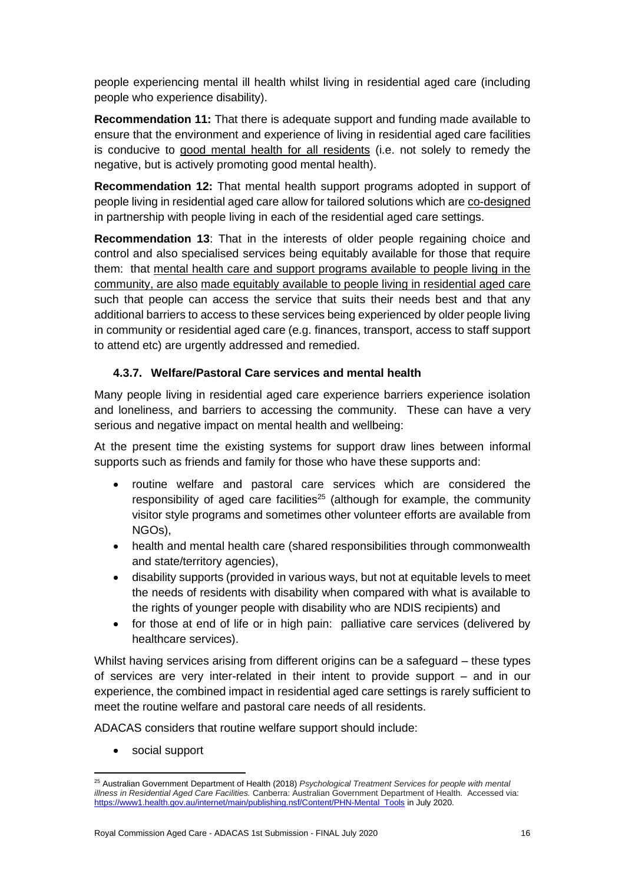people experiencing mental ill health whilst living in residential aged care (including people who experience disability).

**Recommendation 11:** That there is adequate support and funding made available to ensure that the environment and experience of living in residential aged care facilities is conducive to good mental health for all residents (i.e. not solely to remedy the negative, but is actively promoting good mental health).

**Recommendation 12:** That mental health support programs adopted in support of people living in residential aged care allow for tailored solutions which are co-designed in partnership with people living in each of the residential aged care settings.

**Recommendation 13**: That in the interests of older people regaining choice and control and also specialised services being equitably available for those that require them: that mental health care and support programs available to people living in the community, are also made equitably available to people living in residential aged care such that people can access the service that suits their needs best and that any additional barriers to access to these services being experienced by older people living in community or residential aged care (e.g. finances, transport, access to staff support to attend etc) are urgently addressed and remedied.

#### **4.3.7. Welfare/Pastoral Care services and mental health**

Many people living in residential aged care experience barriers experience isolation and loneliness, and barriers to accessing the community. These can have a very serious and negative impact on mental health and wellbeing:

At the present time the existing systems for support draw lines between informal supports such as friends and family for those who have these supports and:

- routine welfare and pastoral care services which are considered the responsibility of aged care facilities<sup>25</sup> (although for example, the community visitor style programs and sometimes other volunteer efforts are available from NGOs),
- health and mental health care (shared responsibilities through commonwealth and state/territory agencies),
- disability supports (provided in various ways, but not at equitable levels to meet the needs of residents with disability when compared with what is available to the rights of younger people with disability who are NDIS recipients) and
- for those at end of life or in high pain: palliative care services (delivered by healthcare services).

Whilst having services arising from different origins can be a safeguard – these types of services are very inter-related in their intent to provide support – and in our experience, the combined impact in residential aged care settings is rarely sufficient to meet the routine welfare and pastoral care needs of all residents.

ADACAS considers that routine welfare support should include:

social support

<sup>25</sup> Australian Government Department of Health (2018) *Psychological Treatment Services for people with mental illness in Residential Aged Care Facilities.* Canberra: Australian Government Department of Health. Accessed via: [https://www1.health.gov.au/internet/main/publishing.nsf/Content/PHN-Mental\\_Tools](https://www1.health.gov.au/internet/main/publishing.nsf/Content/PHN-Mental_Tools) in July 2020.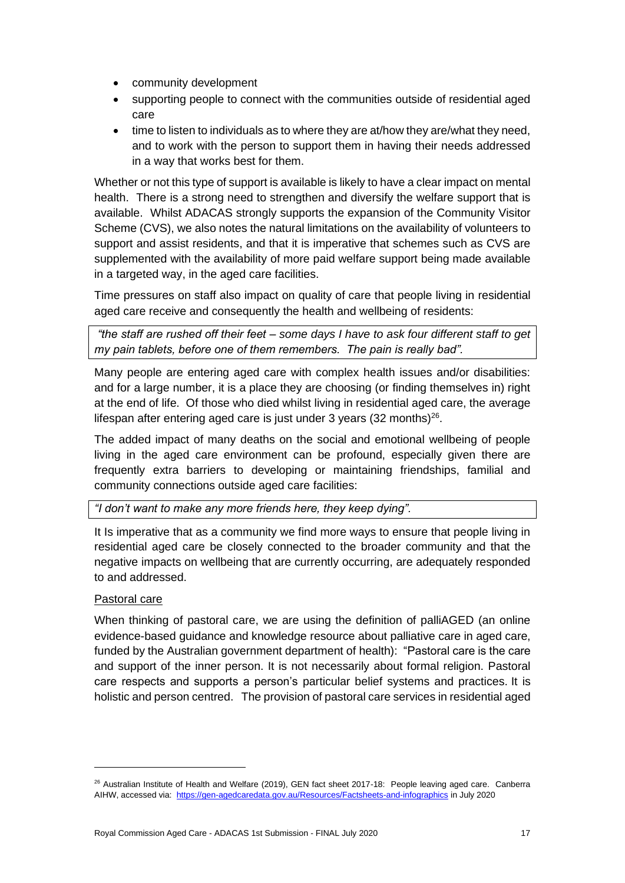- community development
- supporting people to connect with the communities outside of residential aged care
- time to listen to individuals as to where they are at/how they are/what they need, and to work with the person to support them in having their needs addressed in a way that works best for them.

Whether or not this type of support is available is likely to have a clear impact on mental health. There is a strong need to strengthen and diversify the welfare support that is available. Whilst ADACAS strongly supports the expansion of the Community Visitor Scheme (CVS), we also notes the natural limitations on the availability of volunteers to support and assist residents, and that it is imperative that schemes such as CVS are supplemented with the availability of more paid welfare support being made available in a targeted way, in the aged care facilities.

Time pressures on staff also impact on quality of care that people living in residential aged care receive and consequently the health and wellbeing of residents:

*"the staff are rushed off their feet – some days I have to ask four different staff to get my pain tablets, before one of them remembers. The pain is really bad".*

Many people are entering aged care with complex health issues and/or disabilities: and for a large number, it is a place they are choosing (or finding themselves in) right at the end of life. Of those who died whilst living in residential aged care, the average lifespan after entering aged care is just under 3 years (32 months) $^{26}$ .

The added impact of many deaths on the social and emotional wellbeing of people living in the aged care environment can be profound, especially given there are frequently extra barriers to developing or maintaining friendships, familial and community connections outside aged care facilities:

*"I don't want to make any more friends here, they keep dying".*

It Is imperative that as a community we find more ways to ensure that people living in residential aged care be closely connected to the broader community and that the negative impacts on wellbeing that are currently occurring, are adequately responded to and addressed.

#### Pastoral care

When thinking of pastoral care, we are using the definition of palliAGED (an online evidence-based guidance and knowledge resource about palliative care in aged care, funded by the Australian government department of health): "Pastoral care is the care and support of the inner person. It is not necessarily about formal religion. Pastoral care respects and supports a person's particular belief systems and practices. It is holistic and person centred. The provision of pastoral care services in residential aged

<sup>26</sup> Australian Institute of Health and Welfare (2019), GEN fact sheet 2017-18: People leaving aged care. Canberra AIHW, accessed via: <https://gen-agedcaredata.gov.au/Resources/Factsheets-and-infographics> in July 2020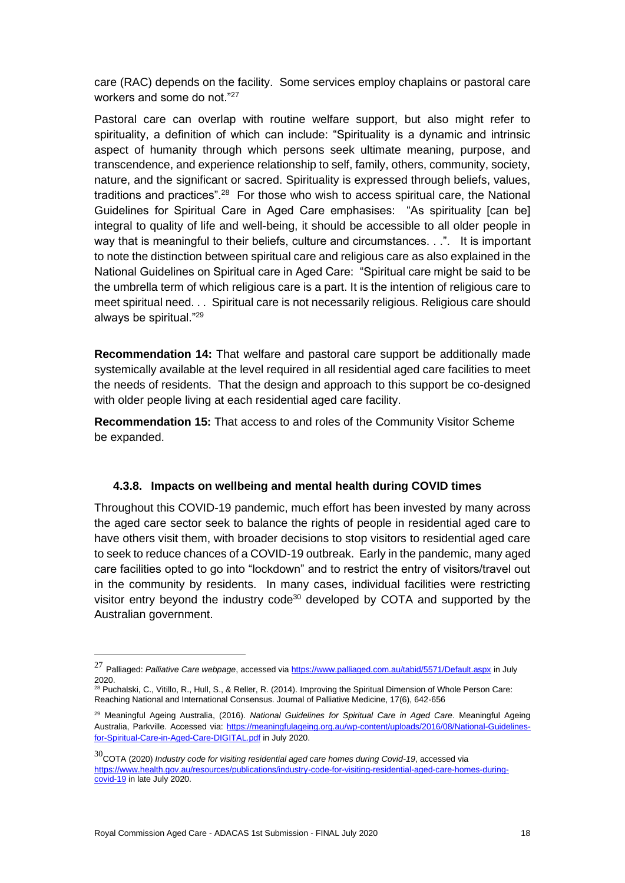care (RAC) depends on the facility. Some services employ chaplains or pastoral care workers and some do not."<sup>27</sup>

Pastoral care can overlap with routine welfare support, but also might refer to spirituality, a definition of which can include: "Spirituality is a dynamic and intrinsic aspect of humanity through which persons seek ultimate meaning, purpose, and transcendence, and experience relationship to self, family, others, community, society, nature, and the significant or sacred. Spirituality is expressed through beliefs, values, traditions and practices".<sup>28</sup> For those who wish to access spiritual care, the National Guidelines for Spiritual Care in Aged Care emphasises: "As spirituality [can be] integral to quality of life and well-being, it should be accessible to all older people in way that is meaningful to their beliefs, culture and circumstances. . .". It is important to note the distinction between spiritual care and religious care as also explained in the National Guidelines on Spiritual care in Aged Care: "Spiritual care might be said to be the umbrella term of which religious care is a part. It is the intention of religious care to meet spiritual need. . . Spiritual care is not necessarily religious. Religious care should always be spiritual."<sup>29</sup>

**Recommendation 14:** That welfare and pastoral care support be additionally made systemically available at the level required in all residential aged care facilities to meet the needs of residents. That the design and approach to this support be co-designed with older people living at each residential aged care facility.

**Recommendation 15:** That access to and roles of the Community Visitor Scheme be expanded.

#### **4.3.8. Impacts on wellbeing and mental health during COVID times**

Throughout this COVID-19 pandemic, much effort has been invested by many across the aged care sector seek to balance the rights of people in residential aged care to have others visit them, with broader decisions to stop visitors to residential aged care to seek to reduce chances of a COVID-19 outbreak. Early in the pandemic, many aged care facilities opted to go into "lockdown" and to restrict the entry of visitors/travel out in the community by residents. In many cases, individual facilities were restricting visitor entry beyond the industry  $\text{code}^{30}$  developed by COTA and supported by the Australian government.

<sup>27</sup> Palliaged: *Palliative Care webpage*, accessed vi[a https://www.palliaged.com.au/tabid/5571/Default.aspx](https://www.palliaged.com.au/tabid/5571/Default.aspx) in July 2020.

<sup>&</sup>lt;sup>28</sup> Puchalski, C., Vitillo, R., Hull, S., & Reller, R. (2014). Improving the Spiritual Dimension of Whole Person Care: Reaching National and International Consensus. Journal of Palliative Medicine, 17(6), 642-656

<sup>29</sup> Meaningful Ageing Australia, (2016). *National Guidelines for Spiritual Care in Aged Care*. Meaningful Ageing Australia, Parkville. Accessed via: [https://meaningfulageing.org.au/wp-content/uploads/2016/08/National-Guidelines](https://meaningfulageing.org.au/wp-content/uploads/2016/08/National-Guidelines-for-Spiritual-Care-in-Aged-Care-DIGITAL.pdf)[for-Spiritual-Care-in-Aged-Care-DIGITAL.pdf](https://meaningfulageing.org.au/wp-content/uploads/2016/08/National-Guidelines-for-Spiritual-Care-in-Aged-Care-DIGITAL.pdf) in July 2020.

<sup>30</sup>COTA (2020) *Industry code for visiting residential aged care homes during Covid-19*, accessed via [https://www.health.gov.au/resources/publications/industry-code-for-visiting-residential-aged-care-homes-during](https://www.health.gov.au/resources/publications/industry-code-for-visiting-residential-aged-care-homes-during-covid-19)[covid-19](https://www.health.gov.au/resources/publications/industry-code-for-visiting-residential-aged-care-homes-during-covid-19) in late July 2020.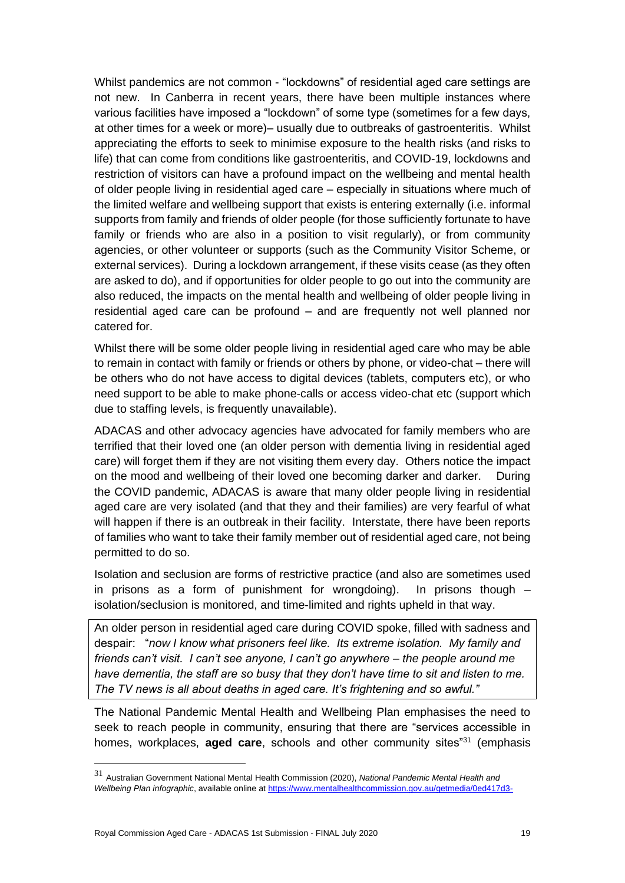Whilst pandemics are not common - "lockdowns" of residential aged care settings are not new. In Canberra in recent years, there have been multiple instances where various facilities have imposed a "lockdown" of some type (sometimes for a few days, at other times for a week or more)– usually due to outbreaks of gastroenteritis. Whilst appreciating the efforts to seek to minimise exposure to the health risks (and risks to life) that can come from conditions like gastroenteritis, and COVID-19, lockdowns and restriction of visitors can have a profound impact on the wellbeing and mental health of older people living in residential aged care – especially in situations where much of the limited welfare and wellbeing support that exists is entering externally (i.e. informal supports from family and friends of older people (for those sufficiently fortunate to have family or friends who are also in a position to visit regularly), or from community agencies, or other volunteer or supports (such as the Community Visitor Scheme, or external services). During a lockdown arrangement, if these visits cease (as they often are asked to do), and if opportunities for older people to go out into the community are also reduced, the impacts on the mental health and wellbeing of older people living in residential aged care can be profound – and are frequently not well planned nor catered for.

Whilst there will be some older people living in residential aged care who may be able to remain in contact with family or friends or others by phone, or video-chat – there will be others who do not have access to digital devices (tablets, computers etc), or who need support to be able to make phone-calls or access video-chat etc (support which due to staffing levels, is frequently unavailable).

ADACAS and other advocacy agencies have advocated for family members who are terrified that their loved one (an older person with dementia living in residential aged care) will forget them if they are not visiting them every day. Others notice the impact on the mood and wellbeing of their loved one becoming darker and darker. During the COVID pandemic, ADACAS is aware that many older people living in residential aged care are very isolated (and that they and their families) are very fearful of what will happen if there is an outbreak in their facility. Interstate, there have been reports of families who want to take their family member out of residential aged care, not being permitted to do so.

Isolation and seclusion are forms of restrictive practice (and also are sometimes used in prisons as a form of punishment for wrongdoing). In prisons though – isolation/seclusion is monitored, and time-limited and rights upheld in that way.

An older person in residential aged care during COVID spoke, filled with sadness and despair: "*now I know what prisoners feel like. Its extreme isolation. My family and friends can't visit. I can't see anyone, I can't go anywhere – the people around me have dementia, the staff are so busy that they don't have time to sit and listen to me. The TV news is all about deaths in aged care. It's frightening and so awful."*

The National Pandemic Mental Health and Wellbeing Plan emphasises the need to seek to reach people in community, ensuring that there are "services accessible in homes, workplaces, **aged care**, schools and other community sites"<sup>31</sup> (emphasis

<sup>31</sup> Australian Government National Mental Health Commission (2020), *National Pandemic Mental Health and Wellbeing Plan infographic*, available online a[t https://www.mentalhealthcommission.gov.au/getmedia/0ed417d3-](https://www.mentalhealthcommission.gov.au/getmedia/0ed417d3-68c6-406f-8007-3975d01f7b59/National-Mental-Health-and-Wellbeing-Pandemic-Response-Plan-Infographic)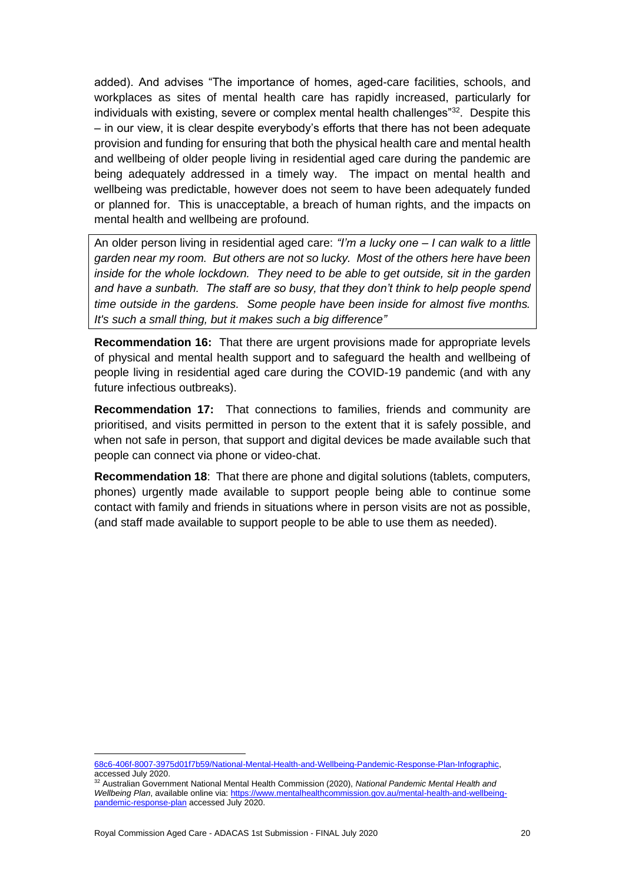added). And advises "The importance of homes, aged-care facilities, schools, and workplaces as sites of mental health care has rapidly increased, particularly for individuals with existing, severe or complex mental health challenges"<sup>32</sup>. Despite this – in our view, it is clear despite everybody's efforts that there has not been adequate provision and funding for ensuring that both the physical health care and mental health and wellbeing of older people living in residential aged care during the pandemic are being adequately addressed in a timely way. The impact on mental health and wellbeing was predictable, however does not seem to have been adequately funded or planned for. This is unacceptable, a breach of human rights, and the impacts on mental health and wellbeing are profound.

An older person living in residential aged care: *"I'm a lucky one – I can walk to a little garden near my room. But others are not so lucky. Most of the others here have been inside for the whole lockdown. They need to be able to get outside, sit in the garden and have a sunbath. The staff are so busy, that they don't think to help people spend time outside in the gardens. Some people have been inside for almost five months. It's such a small thing, but it makes such a big difference"* 

**Recommendation 16:** That there are urgent provisions made for appropriate levels of physical and mental health support and to safeguard the health and wellbeing of people living in residential aged care during the COVID-19 pandemic (and with any future infectious outbreaks).

**Recommendation 17:** That connections to families, friends and community are prioritised, and visits permitted in person to the extent that it is safely possible, and when not safe in person, that support and digital devices be made available such that people can connect via phone or video-chat.

**Recommendation 18**: That there are phone and digital solutions (tablets, computers, phones) urgently made available to support people being able to continue some contact with family and friends in situations where in person visits are not as possible, (and staff made available to support people to be able to use them as needed).

[<sup>68</sup>c6-406f-8007-3975d01f7b59/National-Mental-Health-and-Wellbeing-Pandemic-Response-Plan-Infographic,](https://www.mentalhealthcommission.gov.au/getmedia/0ed417d3-68c6-406f-8007-3975d01f7b59/National-Mental-Health-and-Wellbeing-Pandemic-Response-Plan-Infographic)  accessed July 2020.

<sup>32</sup> Australian Government National Mental Health Commission (2020), *National Pandemic Mental Health and Wellbeing Plan*, available online via[: https://www.mentalhealthcommission.gov.au/mental-health-and-wellbeing](https://www.mentalhealthcommission.gov.au/mental-health-and-wellbeing-pandemic-response-plan)[pandemic-response-plan](https://www.mentalhealthcommission.gov.au/mental-health-and-wellbeing-pandemic-response-plan) accessed July 2020.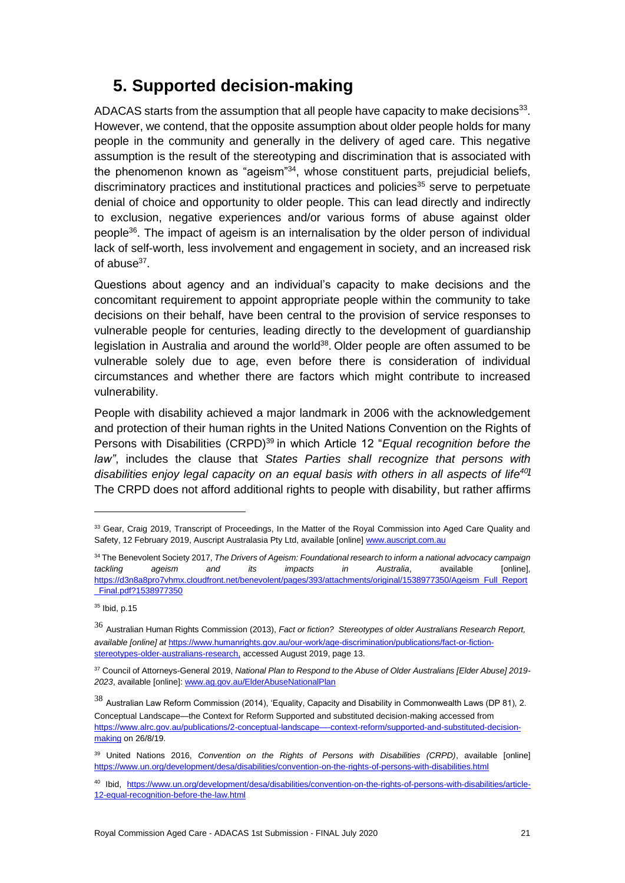## <span id="page-20-0"></span>**5. Supported decision-making**

ADACAS starts from the assumption that all people have capacity to make decisions $^{33}$ . However, we contend, that the opposite assumption about older people holds for many people in the community and generally in the delivery of aged care. This negative assumption is the result of the stereotyping and discrimination that is associated with the phenomenon known as "ageism"<sup>34</sup>, whose constituent parts, prejudicial beliefs, discriminatory practices and institutional practices and policies $35$  serve to perpetuate denial of choice and opportunity to older people. This can lead directly and indirectly to exclusion, negative experiences and/or various forms of abuse against older people<sup>36</sup>. The impact of ageism is an internalisation by the older person of individual lack of self-worth, less involvement and engagement in society, and an increased risk of abuse<sup>37</sup>.

Questions about agency and an individual's capacity to make decisions and the concomitant requirement to appoint appropriate people within the community to take decisions on their behalf, have been central to the provision of service responses to vulnerable people for centuries, leading directly to the development of guardianship legislation in Australia and around the world<sup>38</sup>. Older people are often assumed to be vulnerable solely due to age, even before there is consideration of individual circumstances and whether there are factors which might contribute to increased vulnerability.

People with disability achieved a major landmark in 2006 with the acknowledgement and protection of their human rights in the United Nations Convention on the Rights of Persons with Disabilities (CRPD)<sup>39</sup> in which Article 12 "*Equal recognition before the law"*, includes the clause that *States Parties shall recognize that persons with disabilities enjoy legal capacity on an equal basis with others in all aspects of life 40[\]](https://adacas1.sharepoint.com/Advocacy/SUBMISSIONS/Aged%20Care%20Royal%20Commission%202019/OPAN%20submission/290120_OPAN_ADACAS_CAPACITY_v4%20for%20editing.docx#_ftn8)* The CRPD does not afford additional rights to people with disability, but rather affirms

<sup>33</sup> Gear, Craig 2019, Transcript of Proceedings, In the Matter of the Royal Commission into Aged Care Quality and Safety, 12 February 2019, Auscript Australasia Pty Ltd, available [online[\] www.auscript.com.au](http://www.auscript.com.au/)

<sup>34</sup> The Benevolent Society 2017, *The Drivers of Ageism: Foundational research to inform a national advocacy campaign tackling ageism and its impacts in Australia*, available [online], [https://d3n8a8pro7vhmx.cloudfront.net/benevolent/pages/393/attachments/original/1538977350/Ageism\\_Full\\_Report](https://d3n8a8pro7vhmx.cloudfront.net/benevolent/pages/393/attachments/original/1538977350/Ageism_Full_Report_Final.pdf?1538977350) [\\_Final.pdf?1538977350](https://d3n8a8pro7vhmx.cloudfront.net/benevolent/pages/393/attachments/original/1538977350/Ageism_Full_Report_Final.pdf?1538977350)

<sup>35</sup> Ibid, p.15

<sup>36</sup> Australian Human Rights Commission (2013), *Fact or fiction? Stereotypes of older Australians Research Report, available [online] at* [https://www.humanrights.gov.au/our-work/age-discrimination/publications/fact-or-fiction](https://www.humanrights.gov.au/our-work/age-discrimination/publications/fact-or-fiction-stereotypes-older-australians-research)[stereotypes-older-australians-research,](https://www.humanrights.gov.au/our-work/age-discrimination/publications/fact-or-fiction-stereotypes-older-australians-research) accessed August 2019, page 13.

<sup>37</sup> Council of Attorneys-General 2019, *National Plan to Respond to the Abuse of Older Australians [Elder Abuse] 2019- 2023*, available [online][: www.ag.gov.au/ElderAbuseNationalPlan](http://www.ag.gov.au/ElderAbuseNationalPlan)

<sup>38</sup> Australian Law Reform Commission (2014), 'Equality, Capacity and Disability in Commonwealth Laws (DP 81), 2. Conceptual Landscape—the Context for Reform Supported and substituted decision-making accessed from [https://www.alrc.gov.au/publications/2-conceptual-landscape—-context-reform/supported-and-substituted-decision](https://www.alrc.gov.au/publications/2-conceptual-landscape%E2%80%94-context-reform/supported-and-substituted-decision-making)[making](https://www.alrc.gov.au/publications/2-conceptual-landscape%E2%80%94-context-reform/supported-and-substituted-decision-making) on 26/8/19.

<sup>39</sup> United Nations 2016, *Convention on the Rights of Persons with Disabilities (CRPD)*, available [online] <https://www.un.org/development/desa/disabilities/convention-on-the-rights-of-persons-with-disabilities.html>

<sup>40</sup> Ibid, [https://www.un.org/development/desa/disabilities/convention-on-the-rights-of-persons-with-disabilities/article-](https://www.un.org/development/desa/disabilities/convention-on-the-rights-of-persons-with-disabilities/article-12-equal-recognition-before-the-law.html)[12-equal-recognition-before-the-law.html](https://www.un.org/development/desa/disabilities/convention-on-the-rights-of-persons-with-disabilities/article-12-equal-recognition-before-the-law.html)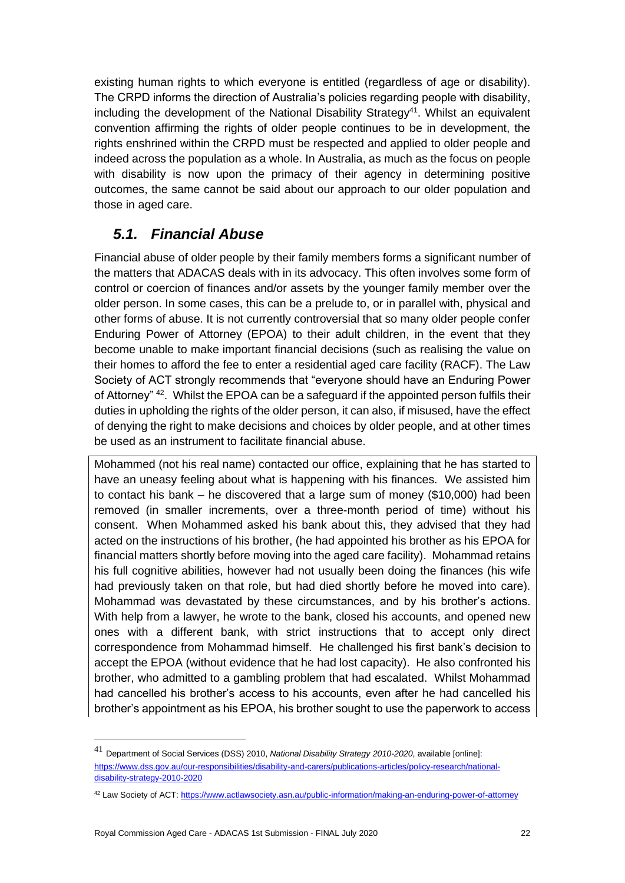existing human rights to which everyone is entitled (regardless of age or disability). The CRPD informs the direction of Australia's policies regarding people with disability, including the development of the National Disability Strategy<sup>41</sup>. Whilst an equivalent convention affirming the rights of older people continues to be in development, the rights enshrined within the CRPD must be respected and applied to older people and indeed across the population as a whole. In Australia, as much as the focus on people with disability is now upon the primacy of their agency in determining positive outcomes, the same cannot be said about our approach to our older population and those in aged care.

## <span id="page-21-0"></span>*5.1. Financial Abuse*

Financial abuse of older people by their family members forms a significant number of the matters that ADACAS deals with in its advocacy. This often involves some form of control or coercion of finances and/or assets by the younger family member over the older person. In some cases, this can be a prelude to, or in parallel with, physical and other forms of abuse. It is not currently controversial that so many older people confer Enduring Power of Attorney (EPOA) to their adult children, in the event that they become unable to make important financial decisions (such as realising the value on their homes to afford the fee to enter a residential aged care facility (RACF). The Law Society of ACT strongly recommends that "everyone should have an Enduring Power of Attorney" <sup>42</sup>. Whilst the EPOA can be a safeguard if the appointed person fulfils their duties in upholding the rights of the older person, it can also, if misused, have the effect of denying the right to make decisions and choices by older people, and at other times be used as an instrument to facilitate financial abuse.

Mohammed (not his real name) contacted our office, explaining that he has started to have an uneasy feeling about what is happening with his finances. We assisted him to contact his bank – he discovered that a large sum of money (\$10,000) had been removed (in smaller increments, over a three-month period of time) without his consent. When Mohammed asked his bank about this, they advised that they had acted on the instructions of his brother, (he had appointed his brother as his EPOA for financial matters shortly before moving into the aged care facility). Mohammad retains his full cognitive abilities, however had not usually been doing the finances (his wife had previously taken on that role, but had died shortly before he moved into care). Mohammad was devastated by these circumstances, and by his brother's actions. With help from a lawyer, he wrote to the bank, closed his accounts, and opened new ones with a different bank, with strict instructions that to accept only direct correspondence from Mohammad himself. He challenged his first bank's decision to accept the EPOA (without evidence that he had lost capacity). He also confronted his brother, who admitted to a gambling problem that had escalated. Whilst Mohammad had cancelled his brother's access to his accounts, even after he had cancelled his brother's appointment as his EPOA, his brother sought to use the paperwork to access

<sup>41</sup> Department of Social Services (DSS) 2010, *National Disability Strategy 2010-2020*, available [online]: [https://www.dss.gov.au/our-responsibilities/disability-and-carers/publications-articles/policy-research/national](https://www.dss.gov.au/our-responsibilities/disability-and-carers/publications-articles/policy-research/national-disability-strategy-2010-2020)[disability-strategy-2010-2020](https://www.dss.gov.au/our-responsibilities/disability-and-carers/publications-articles/policy-research/national-disability-strategy-2010-2020)

<sup>42</sup> Law Society of ACT[: https://www.actlawsociety.asn.au/public-information/making-an-enduring-power-of-attorney](https://www.actlawsociety.asn.au/public-information/making-an-enduring-power-of-attorney)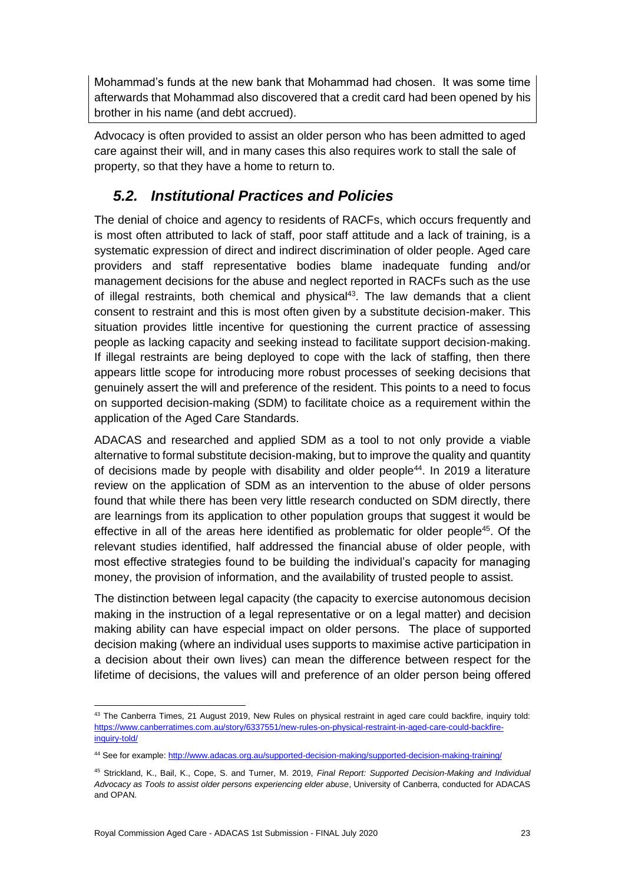Mohammad's funds at the new bank that Mohammad had chosen. It was some time afterwards that Mohammad also discovered that a credit card had been opened by his brother in his name (and debt accrued).

Advocacy is often provided to assist an older person who has been admitted to aged care against their will, and in many cases this also requires work to stall the sale of property, so that they have a home to return to.

### <span id="page-22-0"></span>*5.2. Institutional Practices and Policies*

The denial of choice and agency to residents of RACFs, which occurs frequently and is most often attributed to lack of staff, poor staff attitude and a lack of training, is a systematic expression of direct and indirect discrimination of older people. Aged care providers and staff representative bodies blame inadequate funding and/or management decisions for the abuse and neglect reported in RACFs such as the use of illegal restraints, both chemical and physical<sup>43</sup>. The law demands that a client consent to restraint and this is most often given by a substitute decision-maker. This situation provides little incentive for questioning the current practice of assessing people as lacking capacity and seeking instead to facilitate support decision-making. If illegal restraints are being deployed to cope with the lack of staffing, then there appears little scope for introducing more robust processes of seeking decisions that genuinely assert the will and preference of the resident. This points to a need to focus on supported decision-making (SDM) to facilitate choice as a requirement within the application of the Aged Care Standards.

ADACAS and researched and applied SDM as a tool to not only provide a viable alternative to formal substitute decision-making, but to improve the quality and quantity of decisions made by people with disability and older people<sup>44</sup>. In 2019 a literature review on the application of SDM as an intervention to the abuse of older persons found that while there has been very little research conducted on SDM directly, there are learnings from its application to other population groups that suggest it would be effective in all of the areas here identified as problematic for older people<sup>45</sup>. Of the relevant studies identified, half addressed the financial abuse of older people, with most effective strategies found to be building the individual's capacity for managing money, the provision of information, and the availability of trusted people to assist.

The distinction between legal capacity (the capacity to exercise autonomous decision making in the instruction of a legal representative or on a legal matter) and decision making ability can have especial impact on older persons. The place of supported decision making (where an individual uses supports to maximise active participation in a decision about their own lives) can mean the difference between respect for the lifetime of decisions, the values will and preference of an older person being offered

<sup>&</sup>lt;sup>43</sup> The Canberra Times, 21 August 2019, New Rules on physical restraint in aged care could backfire, inquiry told: [https://www.canberratimes.com.au/story/6337551/new-rules-on-physical-restraint-in-aged-care-could-backfire](https://www.canberratimes.com.au/story/6337551/new-rules-on-physical-restraint-in-aged-care-could-backfire-inquiry-told/)[inquiry-told/](https://www.canberratimes.com.au/story/6337551/new-rules-on-physical-restraint-in-aged-care-could-backfire-inquiry-told/)

<sup>44</sup> See for example[: http://www.adacas.org.au/supported-decision-making/supported-decision-making-training/](http://www.adacas.org.au/supported-decision-making/supported-decision-making-training/)

<sup>45</sup> Strickland, K., Bail, K., Cope, S. and Turner, M. 2019, *Final Report: Supported Decision-Making and Individual Advocacy as Tools to assist older persons experiencing elder abuse*, University of Canberra, conducted for ADACAS and OPAN.